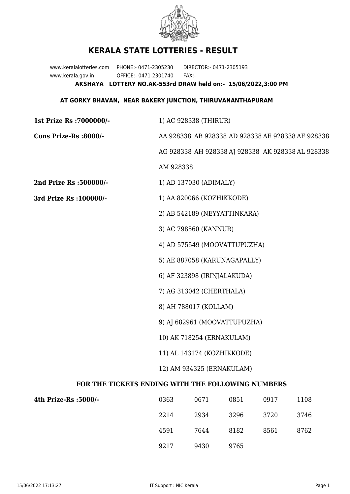

## **KERALA STATE LOTTERIES - RESULT**

www.keralalotteries.com PHONE:- 0471-2305230 DIRECTOR:- 0471-2305193 www.kerala.gov.in OFFICE:- 0471-2301740 FAX:- **AKSHAYA LOTTERY NO.AK-553rd DRAW held on:- 15/06/2022,3:00 PM**

## **AT GORKY BHAVAN, NEAR BAKERY JUNCTION, THIRUVANANTHAPURAM**

**1st Prize Rs :7000000/-** 1) AC 928338 (THIRUR) **Cons Prize-Rs :8000/-** AA 928338 AB 928338 AD 928338 AE 928338 AF 928338 AG 928338 AH 928338 AJ 928338 AK 928338 AL 928338 AM 928338 **2nd Prize Rs :500000/-** 1) AD 137030 (ADIMALY) **3rd Prize Rs :100000/-** 1) AA 820066 (KOZHIKKODE) 2) AB 542189 (NEYYATTINKARA) 3) AC 798560 (KANNUR) 4) AD 575549 (MOOVATTUPUZHA) 5) AE 887058 (KARUNAGAPALLY) 6) AF 323898 (IRINJALAKUDA) 7) AG 313042 (CHERTHALA) 8) AH 788017 (KOLLAM) 9) AJ 682961 (MOOVATTUPUZHA) 10) AK 718254 (ERNAKULAM) 11) AL 143174 (KOZHIKKODE) 12) AM 934325 (ERNAKULAM) **FOR THE TICKETS ENDING WITH THE FOLLOWING NUMBERS**

| 4th Prize-Rs :5000/- | 0363 | 0671 | 0851 | 0917 | 1108 |
|----------------------|------|------|------|------|------|
|                      | 2214 | 2934 | 3296 | 3720 | 3746 |
|                      | 4591 | 7644 | 8182 | 8561 | 8762 |
|                      | 9217 | 9430 | 9765 |      |      |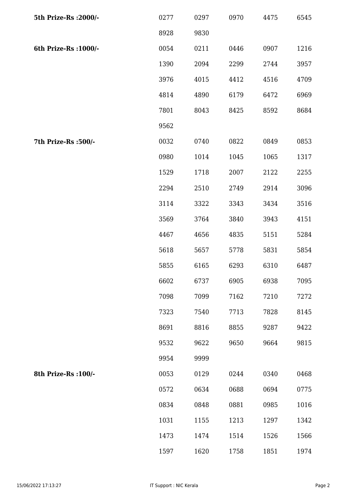| 5th Prize-Rs : 2000/- | 0277 | 0297 | 0970 | 4475 | 6545 |
|-----------------------|------|------|------|------|------|
|                       | 8928 | 9830 |      |      |      |
| 6th Prize-Rs : 1000/- | 0054 | 0211 | 0446 | 0907 | 1216 |
|                       | 1390 | 2094 | 2299 | 2744 | 3957 |
|                       | 3976 | 4015 | 4412 | 4516 | 4709 |
|                       | 4814 | 4890 | 6179 | 6472 | 6969 |
|                       | 7801 | 8043 | 8425 | 8592 | 8684 |
|                       | 9562 |      |      |      |      |
| 7th Prize-Rs :500/-   | 0032 | 0740 | 0822 | 0849 | 0853 |
|                       | 0980 | 1014 | 1045 | 1065 | 1317 |
|                       | 1529 | 1718 | 2007 | 2122 | 2255 |
|                       | 2294 | 2510 | 2749 | 2914 | 3096 |
|                       | 3114 | 3322 | 3343 | 3434 | 3516 |
|                       | 3569 | 3764 | 3840 | 3943 | 4151 |
|                       | 4467 | 4656 | 4835 | 5151 | 5284 |
|                       | 5618 | 5657 | 5778 | 5831 | 5854 |
|                       | 5855 | 6165 | 6293 | 6310 | 6487 |
|                       | 6602 | 6737 | 6905 | 6938 | 7095 |
|                       | 7098 | 7099 | 7162 | 7210 | 7272 |
|                       | 7323 | 7540 | 7713 | 7828 | 8145 |
|                       | 8691 | 8816 | 8855 | 9287 | 9422 |
|                       | 9532 | 9622 | 9650 | 9664 | 9815 |
|                       | 9954 | 9999 |      |      |      |
| 8th Prize-Rs : 100/-  | 0053 | 0129 | 0244 | 0340 | 0468 |
|                       | 0572 | 0634 | 0688 | 0694 | 0775 |
|                       | 0834 | 0848 | 0881 | 0985 | 1016 |
|                       | 1031 | 1155 | 1213 | 1297 | 1342 |
|                       | 1473 | 1474 | 1514 | 1526 | 1566 |
|                       | 1597 | 1620 | 1758 | 1851 | 1974 |